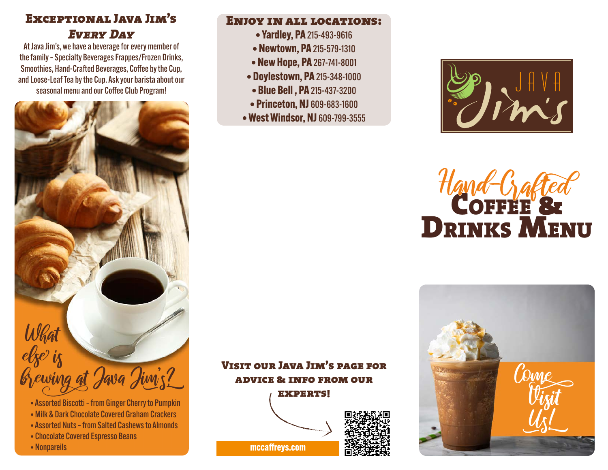# Exceptional Java Jim's *Every Day*

At Java Jim's, we have a beverage for every member of the family – Specialty Beverages Frappes/Frozen Drinks, Smoothies, Hand-Crafted Beverages, Coffee by the Cup, and Loose-Leaf Tea by the Cup. Ask your barista about our seasonal menu and our Coffee Club Program!



- Assorted Biscotti from Ginger Cherry to Pumpkin
- Milk & Dark Chocolate Covered Graham Crackers
- Assorted Nuts from Salted Cashews to Almonds
- Chocolate Covered Espresso Beans
- Nonpareils

#### Enjoy in all locations:

- **Yardley, PA** 215-493-9616
- **Newtown, PA** 215-579-1310
- **New Hope, PA** 267-741-8001
- **Doylestown, PA** 215-348-1000
- **Blue Bell , PA** 215-437-3200
- **Princeton, NJ** 609-683-1600
- **West Windsor, NJ** 609-799-3555



# COFFEE & DRINKS MENU



Visit our Java Jim's page for advice & info from our experts!